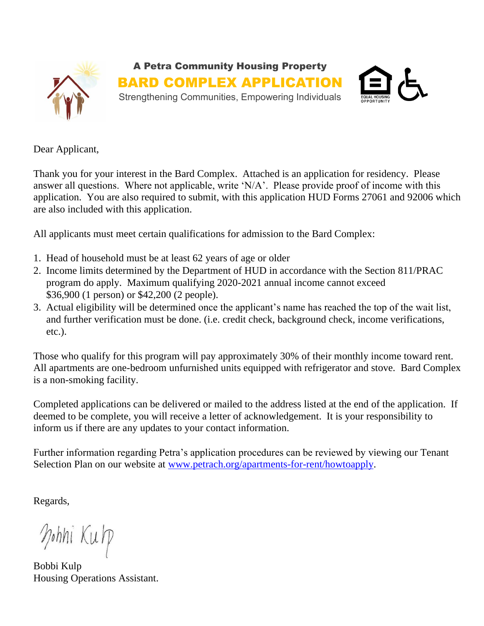

Dear Applicant,

Thank you for your interest in the Bard Complex. Attached is an application for residency. Please answer all questions. Where not applicable, write 'N/A'. Please provide proof of income with this application. You are also required to submit, with this application HUD Forms 27061 and 92006 which are also included with this application.

All applicants must meet certain qualifications for admission to the Bard Complex:

- 1. Head of household must be at least 62 years of age or older
- 2. Income limits determined by the Department of HUD in accordance with the Section 811/PRAC program do apply. Maximum qualifying 2020-2021 annual income cannot exceed \$36,900 (1 person) or \$42,200 (2 people).
- 3. Actual eligibility will be determined once the applicant's name has reached the top of the wait list, and further verification must be done. (i.e. credit check, background check, income verifications, etc.).

Those who qualify for this program will pay approximately 30% of their monthly income toward rent. All apartments are one-bedroom unfurnished units equipped with refrigerator and stove. Bard Complex is a non-smoking facility.

Completed applications can be delivered or mailed to the address listed at the end of the application. If deemed to be complete, you will receive a letter of acknowledgement. It is your responsibility to inform us if there are any updates to your contact information.

Further information regarding Petra's application procedures can be reviewed by viewing our Tenant Selection Plan on our website at [www.petrach.org/apartments-for-rent/howtoapply.](http://www.petrach.org/apartments-for-rent/howtoapply)

Regards,

Mohni Kulp

Bobbi Kulp Housing Operations Assistant.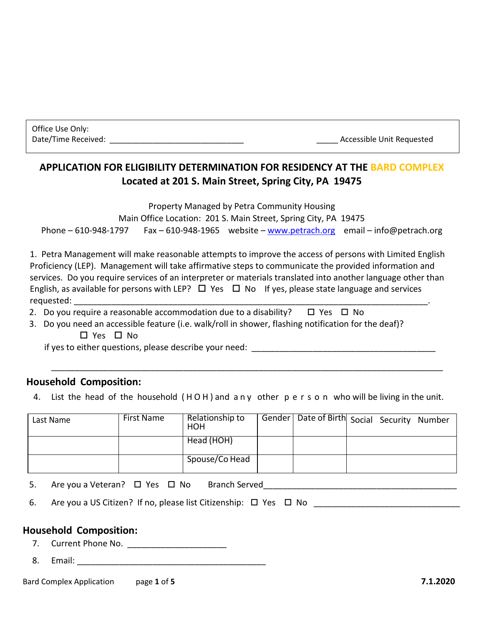Office Use Only:

Date/Time Received: \_\_\_\_\_\_\_\_\_\_\_\_\_\_\_\_\_\_\_\_\_\_\_\_\_\_\_\_\_\_\_ \_\_\_\_\_ Accessible Unit Requested

# **APPLICATION FOR ELIGIBILITY DETERMINATION FOR RESIDENCY AT THE BARD COMPLEX Located at 201 S. Main Street, Spring City, PA 19475**

Property Managed by Petra Community Housing

Main Office Location: 201 S. Main Street, Spring City, PA 19475 Phone – 610-948-1797 Fax – 610-948-1965 website – [www.petrach.org](http://www.petrach.org/) email – info@petrach.org

1. Petra Management will make reasonable attempts to improve the access of persons with Limited English Proficiency (LEP). Management will take affirmative steps to communicate the provided information and services. Do you require services of an interpreter or materials translated into another language other than English, as available for persons with LEP?  $\Box$  Yes  $\Box$  No If yes, please state language and services requested:

- 2. Do you require a reasonable accommodation due to a disability?  $\Box$  Yes  $\Box$  No
- 3. Do you need an accessible feature (i.e. walk/roll in shower, flashing notification for the deaf)? □ Yes □ No

if yes to either questions, please describe your need: \_\_\_\_\_\_\_\_\_\_\_\_\_\_\_\_\_\_\_\_\_\_\_\_\_\_

## **Household Composition:**

4. List the head of the household ( H O H ) and a n y other p e r s o n who will be living in the unit.

\_\_\_\_\_\_\_\_\_\_\_\_\_\_\_\_\_\_\_\_\_\_\_\_\_\_\_\_\_\_\_\_\_\_\_\_\_\_\_\_\_\_\_\_\_\_\_\_\_\_\_\_\_\_\_\_\_\_\_\_\_\_\_\_\_\_\_\_\_\_\_\_\_\_\_\_\_\_\_\_\_\_\_

| Last Name | First Name | Relationship to<br>HOH | Gender   Date of Birth Social Security Number |  |  |
|-----------|------------|------------------------|-----------------------------------------------|--|--|
|           |            | Head (HOH)             |                                               |  |  |
|           |            | Spouse/Co Head         |                                               |  |  |

5. Are you a Veteran?  $\Box$  Yes  $\Box$  No Branch Served

6. Are you a US Citizen? If no, please list Citizenship:  $\Box$  Yes  $\Box$  No

## **Household Composition:**

7. Current Phone No. \_\_\_\_\_\_\_\_\_\_\_\_\_\_\_\_\_\_\_\_\_

8. Email:

Bard Complex Application page **1** of **5 7.1.2020**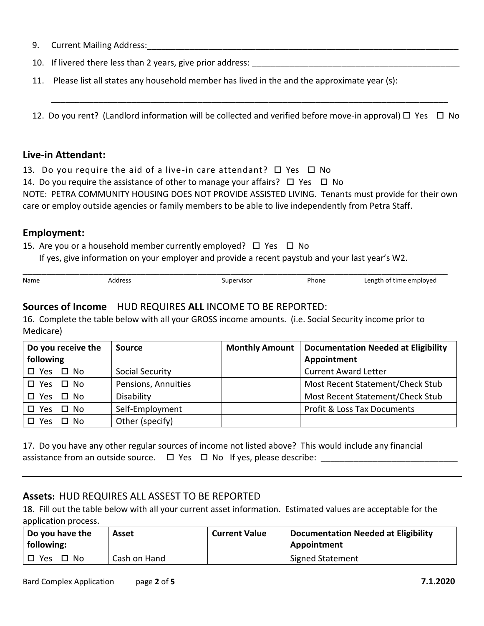|  | 9. Current Mailing Address: |
|--|-----------------------------|
|--|-----------------------------|

| 10. If livered there less than 2 years, give prior address: |  |
|-------------------------------------------------------------|--|
|-------------------------------------------------------------|--|

11. Please list all states any household member has lived in the and the approximate year (s):

12. Do you rent? (Landlord information will be collected and verified before move-in approval)  $\Box$  Yes  $\Box$  No

\_\_\_\_\_\_\_\_\_\_\_\_\_\_\_\_\_\_\_\_\_\_\_\_\_\_\_\_\_\_\_\_\_\_\_\_\_\_\_\_\_\_\_\_\_\_\_\_\_\_\_\_\_\_\_\_\_\_\_\_\_\_\_\_\_\_\_\_\_\_\_\_\_\_\_\_\_\_\_\_\_\_\_\_

#### **Live-in Attendant:**

- 13. Do you require the aid of a live-in care attendant?  $\Box$  Yes  $\Box$  No
- 14. Do you require the assistance of other to manage your affairs?  $\Box$  Yes  $\Box$  No

NOTE: PETRA COMMUNITY HOUSING DOES NOT PROVIDE ASSISTED LIVING. Tenants must provide for their own care or employ outside agencies or family members to be able to live independently from Petra Staff.

#### **Employment:**

15. Are you or a household member currently employed?  $\Box$  Yes  $\Box$  No

If yes, give information on your employer and provide a recent paystub and your last year's W2.

| Name | Address | Supervisor | Phone | Length of time employed |
|------|---------|------------|-------|-------------------------|

## **Sources of Income** HUD REQUIRES **ALL** INCOME TO BE REPORTED:

16. Complete the table below with all your GROSS income amounts. (i.e. Social Security income prior to Medicare)

| Do you receive the             | <b>Source</b>       | <b>Monthly Amount</b> | <b>Documentation Needed at Eligibility</b> |
|--------------------------------|---------------------|-----------------------|--------------------------------------------|
| following                      |                     |                       | Appointment                                |
| $\square$ Yes<br>$\square$ No  | Social Security     |                       | <b>Current Award Letter</b>                |
| □ No<br><b>Yes</b><br>П.       | Pensions, Annuities |                       | Most Recent Statement/Check Stub           |
| $\square$ No<br>$\square$ Yes  | Disability          |                       | Most Recent Statement/Check Stub           |
| No.<br>$\square$ Yes<br>$\Box$ | Self-Employment     |                       | <b>Profit &amp; Loss Tax Documents</b>     |
| No.<br>Yes                     | Other (specify)     |                       |                                            |

17. Do you have any other regular sources of income not listed above? This would include any financial assistance from an outside source. Yes No If yes, please describe: \_\_\_\_\_\_\_\_\_\_\_\_\_\_\_\_\_\_\_\_\_\_\_\_\_\_\_\_\_

#### **Assets:** HUD REQUIRES ALL ASSEST TO BE REPORTED

18. Fill out the table below with all your current asset information. Estimated values are acceptable for the application process.

| Do you have the<br>following: | Asset        | <b>Current Value</b> | <b>Documentation Needed at Eligibility</b><br>Appointment |
|-------------------------------|--------------|----------------------|-----------------------------------------------------------|
| Yes<br>$\square$ No           | Cash on Hand |                      | Signed Statement                                          |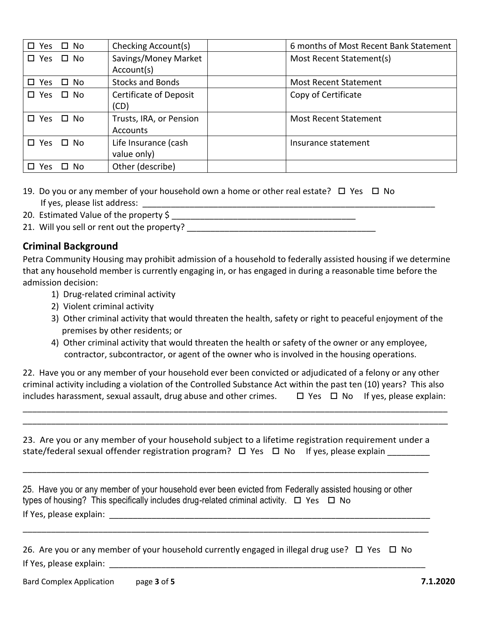| $\square$ No<br>□ Yes      | Checking Account(s)                 | 6 months of Most Recent Bank Statement |
|----------------------------|-------------------------------------|----------------------------------------|
| $\square$ No<br>□ Yes      | Savings/Money Market                | Most Recent Statement(s)               |
|                            | Account(s)                          |                                        |
| $\square$ Yes<br>$\Box$ No | <b>Stocks and Bonds</b>             | <b>Most Recent Statement</b>           |
| $\square$ No<br>□ Yes      | Certificate of Deposit<br>(CD)      | Copy of Certificate                    |
| $\square$ Yes<br>$\Box$ No | Trusts, IRA, or Pension<br>Accounts | <b>Most Recent Statement</b>           |
| □ Yes<br>$\Box$ No         | Life Insurance (cash<br>value only) | Insurance statement                    |
| п<br>No.<br>Yes            | Other (describe)                    |                                        |

- 19. Do you or any member of your household own a home or other real estate?  $\Box$  Yes  $\Box$  No If yes, please list address: \_\_\_\_\_\_\_\_\_\_\_\_\_\_\_\_\_\_\_\_\_\_\_\_\_\_\_\_\_\_\_\_\_\_\_\_\_\_\_\_\_\_\_\_\_\_\_\_\_\_\_\_\_\_\_\_\_\_\_\_\_\_
- 20. Estimated Value of the property \$ \_\_\_\_\_\_\_\_\_\_\_\_\_\_\_\_\_\_\_\_\_\_\_\_\_\_\_\_\_\_\_\_\_\_\_\_\_\_\_
- 21. Will you sell or rent out the property?

## **Criminal Background**

Petra Community Housing may prohibit admission of a household to federally assisted housing if we determine that any household member is currently engaging in, or has engaged in during a reasonable time before the admission decision:

- 1) Drug-related criminal activity
- 2) Violent criminal activity
- 3) Other criminal activity that would threaten the health, safety or right to peaceful enjoyment of the premises by other residents; or
- 4) Other criminal activity that would threaten the health or safety of the owner or any employee, contractor, subcontractor, or agent of the owner who is involved in the housing operations.

| 22. Have you or any member of your household ever been convicted or adjudicated of a felony or any other          |  |                                              |  |
|-------------------------------------------------------------------------------------------------------------------|--|----------------------------------------------|--|
| criminal activity including a violation of the Controlled Substance Act within the past ten (10) years? This also |  |                                              |  |
| includes harassment, sexual assault, drug abuse and other crimes.                                                 |  | $\Box$ Yes $\Box$ No If yes, please explain: |  |

\_\_\_\_\_\_\_\_\_\_\_\_\_\_\_\_\_\_\_\_\_\_\_\_\_\_\_\_\_\_\_\_\_\_\_\_\_\_\_\_\_\_\_\_\_\_\_\_\_\_\_\_\_\_\_\_\_\_\_\_\_\_\_\_\_\_\_\_\_\_\_\_\_\_\_\_\_\_\_\_\_\_\_\_\_\_\_\_\_\_ \_\_\_\_\_\_\_\_\_\_\_\_\_\_\_\_\_\_\_\_\_\_\_\_\_\_\_\_\_\_\_\_\_\_\_\_\_\_\_\_\_\_\_\_\_\_\_\_\_\_\_\_\_\_\_\_\_\_\_\_\_\_\_\_\_\_\_\_\_\_\_\_\_\_\_\_\_\_\_\_\_\_\_\_\_\_\_\_\_\_

| 23. Are you or any member of your household subject to a lifetime registration requirement under a |  |  |
|----------------------------------------------------------------------------------------------------|--|--|
| state/federal sexual offender registration program? □ Yes □ No If yes, please explain              |  |  |

\_\_\_\_\_\_\_\_\_\_\_\_\_\_\_\_\_\_\_\_\_\_\_\_\_\_\_\_\_\_\_\_\_\_\_\_\_\_\_\_\_\_\_\_\_\_\_\_\_\_\_\_\_\_\_\_\_\_\_\_\_\_\_\_\_\_\_\_\_\_\_\_\_\_\_\_\_\_\_\_\_\_\_\_\_\_

| 25. Have you or any member of your household ever been evicted from Federally assisted housing or other |  |
|---------------------------------------------------------------------------------------------------------|--|
| types of housing? This specifically includes drug-related criminal activity. $\Box$ Yes $\Box$ No       |  |
| If Yes, please explain:                                                                                 |  |

\_\_\_\_\_\_\_\_\_\_\_\_\_\_\_\_\_\_\_\_\_\_\_\_\_\_\_\_\_\_\_\_\_\_\_\_\_\_\_\_\_\_\_\_\_\_\_\_\_\_\_\_\_\_\_\_\_\_\_\_\_\_\_\_\_\_\_\_\_\_\_\_\_\_\_\_\_\_\_\_\_\_\_\_\_\_

| 26. Are you or any member of your household currently engaged in illegal drug use? $\Box$ Yes $\Box$ No |  |
|---------------------------------------------------------------------------------------------------------|--|
| If Yes, please explain:                                                                                 |  |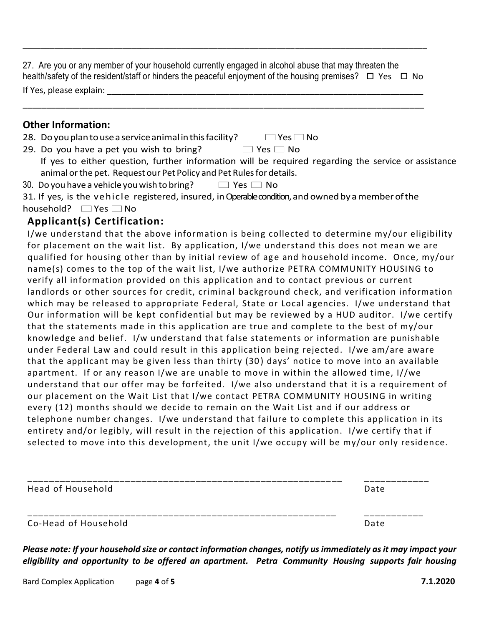27. Are you or any member of your household currently engaged in alcohol abuse that may threaten the health/safety of the resident/staff or hinders the peaceful enjoyment of the housing premises?  $\Box$  Yes  $\Box$  No If Yes, please explain:

\_\_\_\_\_\_\_\_\_\_\_\_\_\_\_\_\_\_\_\_\_\_\_\_\_\_\_\_\_\_\_\_\_\_\_\_\_\_\_\_\_\_\_\_\_\_\_\_\_\_\_\_\_\_\_\_\_\_\_\_\_\_\_\_\_\_\_\_\_\_\_\_\_\_\_\_\_\_\_\_\_\_\_\_\_

\_\_\_\_\_\_\_\_\_\_\_\_\_\_\_\_\_\_\_\_\_\_\_\_\_\_\_\_\_\_\_\_\_\_\_\_\_\_\_\_\_\_\_\_\_\_\_\_\_\_\_\_\_\_\_\_\_\_\_\_\_\_\_\_\_\_\_\_\_\_\_\_\_\_\_\_\_\_\_\_\_\_\_\_\_\_\_\_\_

#### **Other Information:**

| <b>ULTRET INTOINT AUGHT.</b>                              |                      |
|-----------------------------------------------------------|----------------------|
| 28. Do you plan to use a service animal in this facility? | $\Box$ Yes $\Box$ No |

- 29. Do you have a pet you wish to bring?  $\Box$  Yes  $\Box$  No If yes to either question, further information will be required regarding the service or assistance animal or the pet. Request our Pet Policy and Pet Rules for details.
- 30. Do you have a vehicle you wish to bring?  $\Box$  Yes  $\Box$  No
- 31. If yes, is the vehicle registered, insured, in Operable condition, and owned by a member of the household? ■ Yes ■ No

## **Applicant(s) Certification:**

I/we understand that the above information is being collected to determine my/our eligibility for placement on the wait list. By application, I/we understand this does not mean we are qualified for housing other than by initial review of age and household income. Once, my/our name(s) comes to the top of the wait list, I/we authorize PETRA COMMUNITY HOUSING to verify all information provided on this application and to contact previous or current landlords or other sources for credit, criminal background check, and verification information which may be released to appropriate Federal, State or Local agencies. I/we understand that Our information will be kept confidential but may be reviewed by a HUD auditor. I/we certify that the statements made in this application are true and complete to the best of my/our knowledge and belief. I/w understand that false statements or information are punishable under Federal Law and could result in this application being rejected. I/we am/are aware that the applicant may be given less than thirty (30 ) days' notice to move into an available apartment. If or any reason I/we are unable to move in within the allowed time, I//we understand that our offer may be forfeited. I/we also understand that it is a requirement of our placement on the Wait List that I/we contact PETRA COMMUNITY HOUSING in writing every (12) months should we decide to remain on the Wait List and if our address or telephone number changes. I/we understand that failure to complete this application in its entirety and/or legibly, will result in the rejection of this application. I/we certify that if selected to move into this development, the unit I/we occupy will be my/our only residence.

| Head of Household    | Date |
|----------------------|------|
| Co-Head of Household | Date |

*Please note: If your household size or contact information changes, notify us immediately as it may impact your eligibility and opportunity to be offered an apartment. Petra Community Housing supports fair housing*